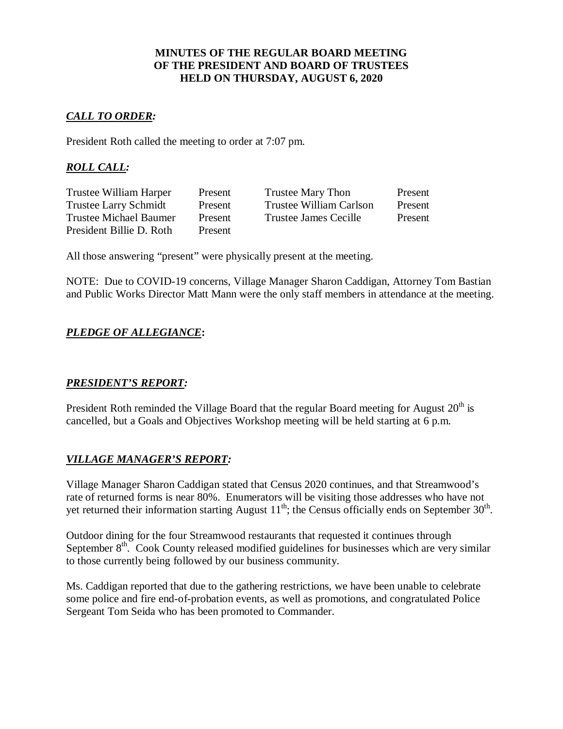### **MINUTES OF THE REGULAR BOARD MEETING OF THE PRESIDENT AND BOARD OF TRUSTEES HELD ON THURSDAY, AUGUST 6, 2020**

# *CALL TO ORDER:*

President Roth called the meeting to order at 7:07 pm.

# *ROLL CALL:*

| Trustee William Harper        | Present | <b>Trustee Mary Thon</b> | Present |
|-------------------------------|---------|--------------------------|---------|
| <b>Trustee Larry Schmidt</b>  | Present | Trustee William Carlson  | Present |
| <b>Trustee Michael Baumer</b> | Present | Trustee James Cecille    | Present |
| President Billie D. Roth      | Present |                          |         |

All those answering "present" were physically present at the meeting.

NOTE: Due to COVID-19 concerns, Village Manager Sharon Caddigan, Attorney Tom Bastian and Public Works Director Matt Mann were the only staff members in attendance at the meeting.

# *PLEDGE OF ALLEGIANCE***:**

# *PRESIDENT'S REPORT:*

President Roth reminded the Village Board that the regular Board meeting for August  $20<sup>th</sup>$  is cancelled, but a Goals and Objectives Workshop meeting will be held starting at 6 p.m.

# *VILLAGE MANAGER'S REPORT:*

Village Manager Sharon Caddigan stated that Census 2020 continues, and that Streamwood's rate of returned forms is near 80%. Enumerators will be visiting those addresses who have not yet returned their information starting August  $11^{th}$ ; the Census officially ends on September 30<sup>th</sup>.

Outdoor dining for the four Streamwood restaurants that requested it continues through September  $8<sup>th</sup>$ . Cook County released modified guidelines for businesses which are very similar to those currently being followed by our business community.

Ms. Caddigan reported that due to the gathering restrictions, we have been unable to celebrate some police and fire end-of-probation events, as well as promotions, and congratulated Police Sergeant Tom Seida who has been promoted to Commander.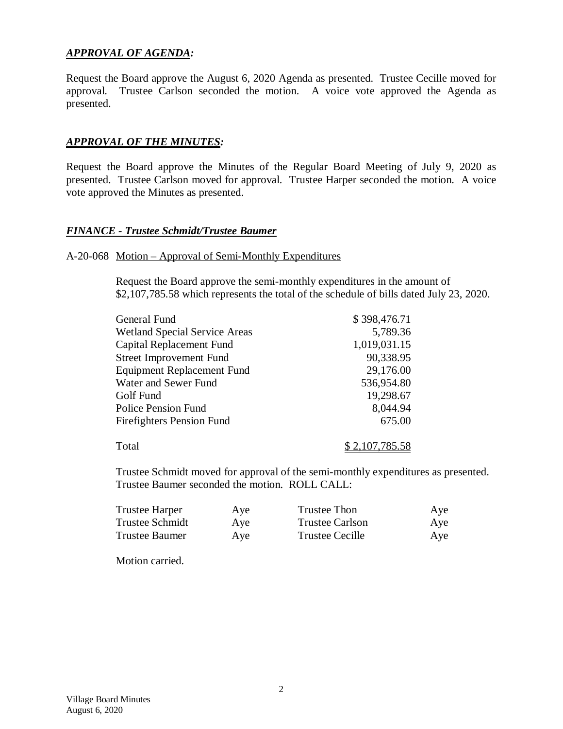# *APPROVAL OF AGENDA:*

Request the Board approve the August 6, 2020 Agenda as presented. Trustee Cecille moved for approval. Trustee Carlson seconded the motion. A voice vote approved the Agenda as presented.

### *APPROVAL OF THE MINUTES:*

Request the Board approve the Minutes of the Regular Board Meeting of July 9, 2020 as presented. Trustee Carlson moved for approval. Trustee Harper seconded the motion. A voice vote approved the Minutes as presented.

#### *FINANCE - Trustee Schmidt/Trustee Baumer*

#### A-20-068 Motion – Approval of Semi-Monthly Expenditures

Request the Board approve the semi-monthly expenditures in the amount of \$2,107,785.58 which represents the total of the schedule of bills dated July 23, 2020.

| General Fund                         | \$398,476.71          |
|--------------------------------------|-----------------------|
| <b>Wetland Special Service Areas</b> | 5,789.36              |
| <b>Capital Replacement Fund</b>      | 1,019,031.15          |
| <b>Street Improvement Fund</b>       | 90,338.95             |
| <b>Equipment Replacement Fund</b>    | 29,176.00             |
| Water and Sewer Fund                 | 536,954.80            |
| Golf Fund                            | 19,298.67             |
| <b>Police Pension Fund</b>           | 8,044.94              |
| <b>Firefighters Pension Fund</b>     | 675.00                |
| Total                                | <u>\$2,107,785.58</u> |

Trustee Schmidt moved for approval of the semi-monthly expenditures as presented. Trustee Baumer seconded the motion. ROLL CALL:

| Trustee Harper  | Aye | <b>Trustee Thon</b> | Aye |
|-----------------|-----|---------------------|-----|
| Trustee Schmidt | Aye | Trustee Carlson     | Aye |
| Trustee Baumer  | Aye | Trustee Cecille     | Aye |

Motion carried.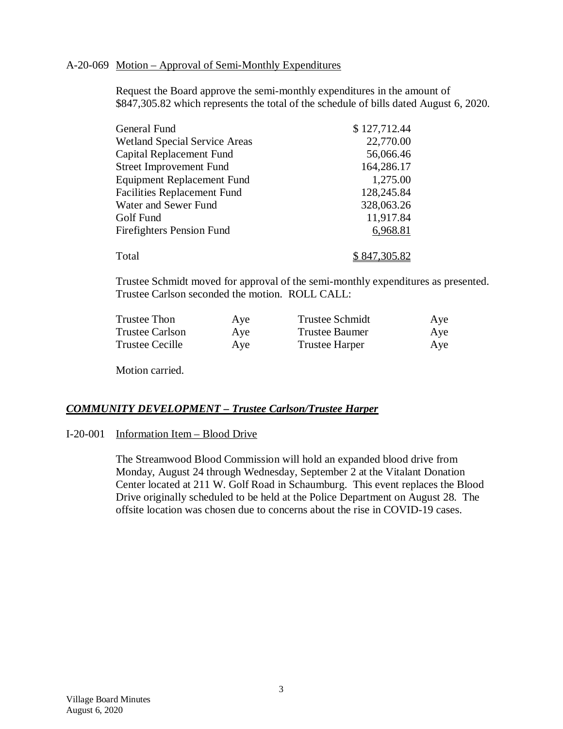#### A-20-069 Motion – Approval of Semi-Monthly Expenditures

Request the Board approve the semi-monthly expenditures in the amount of \$847,305.82 which represents the total of the schedule of bills dated August 6, 2020.

| General Fund                         | \$127,712.44 |
|--------------------------------------|--------------|
| <b>Wetland Special Service Areas</b> | 22,770.00    |
| Capital Replacement Fund             | 56,066.46    |
| <b>Street Improvement Fund</b>       | 164,286.17   |
| <b>Equipment Replacement Fund</b>    | 1,275.00     |
| <b>Facilities Replacement Fund</b>   | 128,245.84   |
| Water and Sewer Fund                 | 328,063.26   |
| Golf Fund                            | 11,917.84    |
| <b>Firefighters Pension Fund</b>     | 6,968.81     |
|                                      |              |
| Total                                | \$847,305.82 |

Trustee Schmidt moved for approval of the semi-monthly expenditures as presented. Trustee Carlson seconded the motion. ROLL CALL:

| Trustee Thon           | Aye | Trustee Schmidt       | Aye |
|------------------------|-----|-----------------------|-----|
| <b>Trustee Carlson</b> | Aye | <b>Trustee Baumer</b> | Aye |
| <b>Trustee Cecille</b> | Aye | <b>Trustee Harper</b> | Aye |

Motion carried.

# *COMMUNITY DEVELOPMENT – Trustee Carlson/Trustee Harper*

#### I-20-001 Information Item – Blood Drive

The Streamwood Blood Commission will hold an expanded blood drive from Monday, August 24 through Wednesday, September 2 at the Vitalant Donation Center located at 211 W. Golf Road in Schaumburg. This event replaces the Blood Drive originally scheduled to be held at the Police Department on August 28. The offsite location was chosen due to concerns about the rise in COVID-19 cases.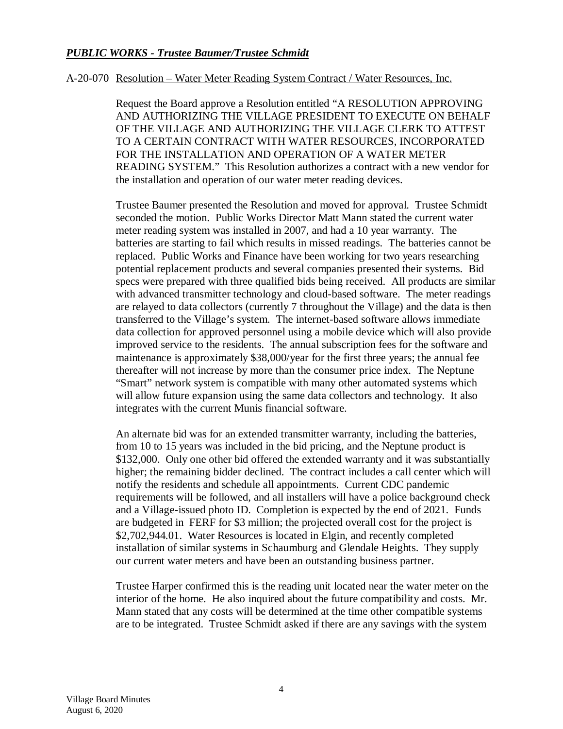# *PUBLIC WORKS - Trustee Baumer/Trustee Schmidt*

#### A-20-070 Resolution – Water Meter Reading System Contract / Water Resources, Inc.

Request the Board approve a Resolution entitled "A RESOLUTION APPROVING AND AUTHORIZING THE VILLAGE PRESIDENT TO EXECUTE ON BEHALF OF THE VILLAGE AND AUTHORIZING THE VILLAGE CLERK TO ATTEST TO A CERTAIN CONTRACT WITH WATER RESOURCES, INCORPORATED FOR THE INSTALLATION AND OPERATION OF A WATER METER READING SYSTEM." This Resolution authorizes a contract with a new vendor for the installation and operation of our water meter reading devices.

Trustee Baumer presented the Resolution and moved for approval. Trustee Schmidt seconded the motion. Public Works Director Matt Mann stated the current water meter reading system was installed in 2007, and had a 10 year warranty. The batteries are starting to fail which results in missed readings. The batteries cannot be replaced. Public Works and Finance have been working for two years researching potential replacement products and several companies presented their systems. Bid specs were prepared with three qualified bids being received. All products are similar with advanced transmitter technology and cloud-based software. The meter readings are relayed to data collectors (currently 7 throughout the Village) and the data is then transferred to the Village's system. The internet-based software allows immediate data collection for approved personnel using a mobile device which will also provide improved service to the residents. The annual subscription fees for the software and maintenance is approximately \$38,000/year for the first three years; the annual fee thereafter will not increase by more than the consumer price index. The Neptune "Smart" network system is compatible with many other automated systems which will allow future expansion using the same data collectors and technology. It also integrates with the current Munis financial software.

An alternate bid was for an extended transmitter warranty, including the batteries, from 10 to 15 years was included in the bid pricing, and the Neptune product is \$132,000. Only one other bid offered the extended warranty and it was substantially higher; the remaining bidder declined. The contract includes a call center which will notify the residents and schedule all appointments. Current CDC pandemic requirements will be followed, and all installers will have a police background check and a Village-issued photo ID. Completion is expected by the end of 2021. Funds are budgeted in FERF for \$3 million; the projected overall cost for the project is \$2,702,944.01. Water Resources is located in Elgin, and recently completed installation of similar systems in Schaumburg and Glendale Heights. They supply our current water meters and have been an outstanding business partner.

Trustee Harper confirmed this is the reading unit located near the water meter on the interior of the home. He also inquired about the future compatibility and costs. Mr. Mann stated that any costs will be determined at the time other compatible systems are to be integrated. Trustee Schmidt asked if there are any savings with the system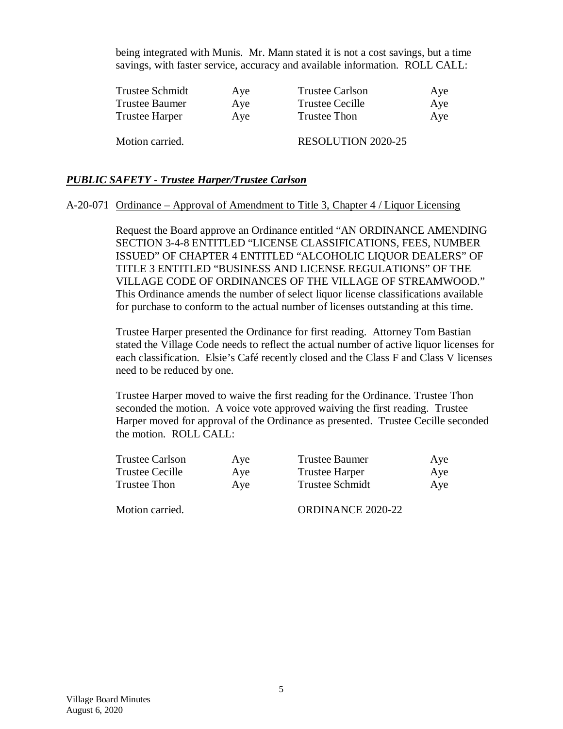being integrated with Munis. Mr. Mann stated it is not a cost savings, but a time savings, with faster service, accuracy and available information. ROLL CALL:

| <b>Trustee Schmidt</b> | Aye | <b>Trustee Carlson</b>    | Aye |
|------------------------|-----|---------------------------|-----|
| <b>Trustee Baumer</b>  | Aye | <b>Trustee Cecille</b>    | Aye |
| <b>Trustee Harper</b>  | Aye | <b>Trustee Thon</b>       | Aye |
| Motion carried.        |     | <b>RESOLUTION 2020-25</b> |     |

#### *PUBLIC SAFETY - Trustee Harper/Trustee Carlson*

#### A-20-071 Ordinance – Approval of Amendment to Title 3, Chapter 4 / Liquor Licensing

Request the Board approve an Ordinance entitled "AN ORDINANCE AMENDING SECTION 3-4-8 ENTITLED "LICENSE CLASSIFICATIONS, FEES, NUMBER ISSUED" OF CHAPTER 4 ENTITLED "ALCOHOLIC LIQUOR DEALERS" OF TITLE 3 ENTITLED "BUSINESS AND LICENSE REGULATIONS" OF THE VILLAGE CODE OF ORDINANCES OF THE VILLAGE OF STREAMWOOD." This Ordinance amends the number of select liquor license classifications available for purchase to conform to the actual number of licenses outstanding at this time.

Trustee Harper presented the Ordinance for first reading. Attorney Tom Bastian stated the Village Code needs to reflect the actual number of active liquor licenses for each classification. Elsie's Café recently closed and the Class F and Class V licenses need to be reduced by one.

Trustee Harper moved to waive the first reading for the Ordinance. Trustee Thon seconded the motion. A voice vote approved waiving the first reading. Trustee Harper moved for approval of the Ordinance as presented. Trustee Cecille seconded the motion. ROLL CALL:

| Trustee Carlson | Aye | Trustee Baumer         | Aye |
|-----------------|-----|------------------------|-----|
| Trustee Cecille | Aye | <b>Trustee Harper</b>  | Aye |
| Trustee Thon    | Aye | <b>Trustee Schmidt</b> | Aye |
|                 |     |                        |     |

Motion carried. CORDINANCE 2020-22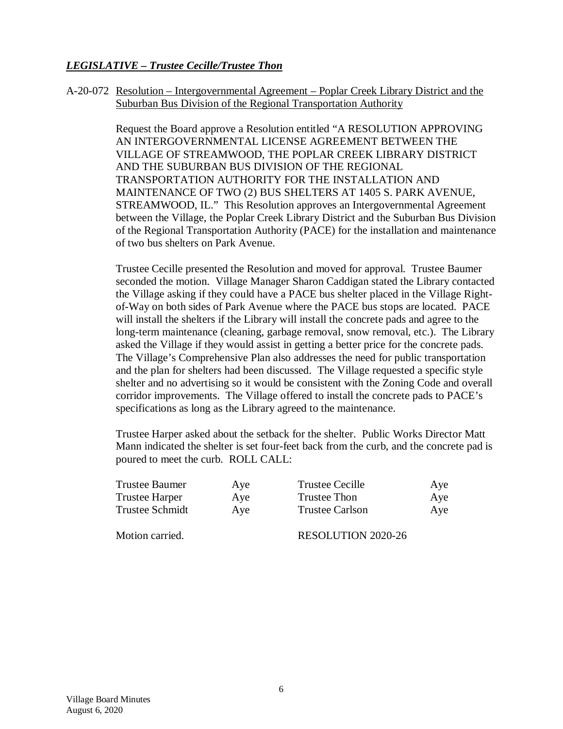# *LEGISLATIVE – Trustee Cecille/Trustee Thon*

A-20-072 Resolution – Intergovernmental Agreement – Poplar Creek Library District and the Suburban Bus Division of the Regional Transportation Authority

> Request the Board approve a Resolution entitled "A RESOLUTION APPROVING AN INTERGOVERNMENTAL LICENSE AGREEMENT BETWEEN THE VILLAGE OF STREAMWOOD, THE POPLAR CREEK LIBRARY DISTRICT AND THE SUBURBAN BUS DIVISION OF THE REGIONAL TRANSPORTATION AUTHORITY FOR THE INSTALLATION AND MAINTENANCE OF TWO (2) BUS SHELTERS AT 1405 S. PARK AVENUE, STREAMWOOD, IL." This Resolution approves an Intergovernmental Agreement between the Village, the Poplar Creek Library District and the Suburban Bus Division of the Regional Transportation Authority (PACE) for the installation and maintenance of two bus shelters on Park Avenue.

> Trustee Cecille presented the Resolution and moved for approval. Trustee Baumer seconded the motion. Village Manager Sharon Caddigan stated the Library contacted the Village asking if they could have a PACE bus shelter placed in the Village Rightof-Way on both sides of Park Avenue where the PACE bus stops are located. PACE will install the shelters if the Library will install the concrete pads and agree to the long-term maintenance (cleaning, garbage removal, snow removal, etc.). The Library asked the Village if they would assist in getting a better price for the concrete pads. The Village's Comprehensive Plan also addresses the need for public transportation and the plan for shelters had been discussed. The Village requested a specific style shelter and no advertising so it would be consistent with the Zoning Code and overall corridor improvements. The Village offered to install the concrete pads to PACE's specifications as long as the Library agreed to the maintenance.

> Trustee Harper asked about the setback for the shelter. Public Works Director Matt Mann indicated the shelter is set four-feet back from the curb, and the concrete pad is poured to meet the curb. ROLL CALL:

| Trustee Baumer  | Aye | <b>Trustee Cecille</b> | Aye |
|-----------------|-----|------------------------|-----|
| Trustee Harper  | Aye | Trustee Thon           | Aye |
| Trustee Schmidt | Aye | Trustee Carlson        | Aye |
|                 |     |                        |     |

Motion carried. RESOLUTION 2020-26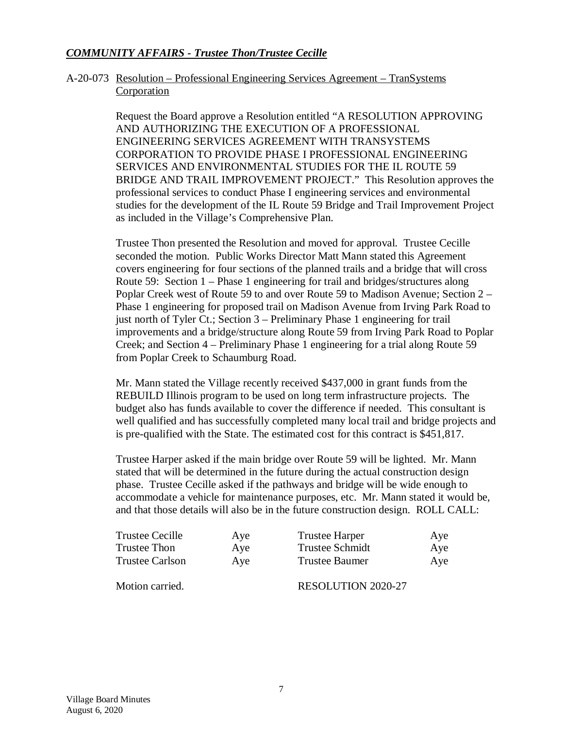# *COMMUNITY AFFAIRS - Trustee Thon/Trustee Cecille*

### A-20-073 Resolution – Professional Engineering Services Agreement – TranSystems **Corporation**

Request the Board approve a Resolution entitled "A RESOLUTION APPROVING AND AUTHORIZING THE EXECUTION OF A PROFESSIONAL ENGINEERING SERVICES AGREEMENT WITH TRANSYSTEMS CORPORATION TO PROVIDE PHASE I PROFESSIONAL ENGINEERING SERVICES AND ENVIRONMENTAL STUDIES FOR THE IL ROUTE 59 BRIDGE AND TRAIL IMPROVEMENT PROJECT." This Resolution approves the professional services to conduct Phase I engineering services and environmental studies for the development of the IL Route 59 Bridge and Trail Improvement Project as included in the Village's Comprehensive Plan.

Trustee Thon presented the Resolution and moved for approval. Trustee Cecille seconded the motion. Public Works Director Matt Mann stated this Agreement covers engineering for four sections of the planned trails and a bridge that will cross Route 59: Section 1 – Phase 1 engineering for trail and bridges/structures along Poplar Creek west of Route 59 to and over Route 59 to Madison Avenue; Section 2 – Phase 1 engineering for proposed trail on Madison Avenue from Irving Park Road to just north of Tyler Ct.; Section 3 – Preliminary Phase 1 engineering for trail improvements and a bridge/structure along Route 59 from Irving Park Road to Poplar Creek; and Section 4 – Preliminary Phase 1 engineering for a trial along Route 59 from Poplar Creek to Schaumburg Road.

Mr. Mann stated the Village recently received \$437,000 in grant funds from the REBUILD Illinois program to be used on long term infrastructure projects. The budget also has funds available to cover the difference if needed. This consultant is well qualified and has successfully completed many local trail and bridge projects and is pre-qualified with the State. The estimated cost for this contract is \$451,817.

Trustee Harper asked if the main bridge over Route 59 will be lighted. Mr. Mann stated that will be determined in the future during the actual construction design phase. Trustee Cecille asked if the pathways and bridge will be wide enough to accommodate a vehicle for maintenance purposes, etc. Mr. Mann stated it would be, and that those details will also be in the future construction design. ROLL CALL:

| <b>Trustee Cecille</b> | Aye | <b>Trustee Harper</b>     | Aye |
|------------------------|-----|---------------------------|-----|
| Trustee Thon           | Aye | Trustee Schmidt           | Aye |
| <b>Trustee Carlson</b> | Aye | <b>Trustee Baumer</b>     | Aye |
| Motion carried.        |     | <b>RESOLUTION 2020-27</b> |     |